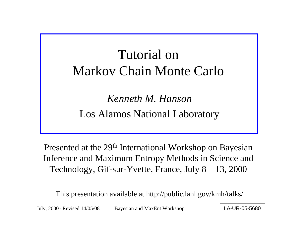## Tutorial on Markov Chain Monte Carlo

*Kenneth M. Hanson*Los Alamos National Laboratory

Presented at the 29<sup>th</sup> International Workshop on Bayesian Inference and Maximum Entropy Methods in Science and Technology, Gif-sur-Yvette, France, July 8 – 13, 2000

This presentation available at http://public.lanl.gov/kmh/talks/

July, 2000 - Revised 14/05/08 Bayesian and MaxEnt Workshop | LA-UR-05-5680 - Revised 14/05/08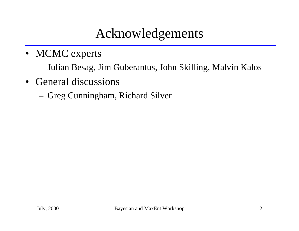#### Acknowledgements

- MCMC experts
	- Julian Besag, Jim Guberantus, John Skilling, Malvin Kalos
- General discussions
	- Greg Cunningham, Richard Silver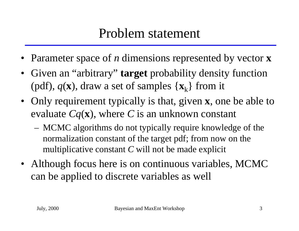- •Parameter space of *n* dimensions represented by vector **x**
- Given an "arbitrary" **target** probability density function (pdf),  $q(\mathbf{x})$ , draw a set of samples  $\{\mathbf{x}_k\}$  from it
- Only requirement typically is that, given **<sup>x</sup>**, one be able to evaluate *Cq* ( **<sup>x</sup>**), where *C* is an unknown constant
	- MCMC algorithms do not typically require knowledge of the normalization constant of the target pdf; from now on the multiplicative constant *C* will not be made explicit
- Although focus here is on continuous variables, MCMC can be applied to discrete variables as well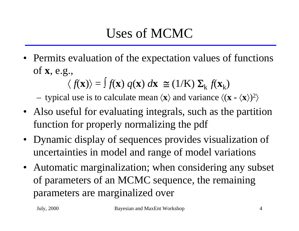# Uses of MCMC

• Permits evaluation of the expectation values of functions of **<sup>x</sup>**, e.g.,

$$
\langle f(\mathbf{x}) \rangle = \int f(\mathbf{x}) q(\mathbf{x}) d\mathbf{x} \cong (1/K) \Sigma_k f(\mathbf{x}_k)
$$

typical use is to calculate mean  $\langle x \rangle$  and variance  $\langle (x - \langle x \rangle)^2 \rangle$ 〉

- Also useful for evaluating integrals, such as the partition function for properly normalizing the pdf
- Dynamic display of sequences provides visualization of uncertainties in model and range of model variations
- Automatic marginalization; when considering any subset of parameters of an MCMC sequence, the remaining parameters are marginalized over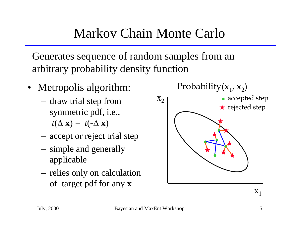## Markov Chain Monte Carlo

Generates sequence of random samples from an arbitrary probability density function

- Metropolis algorithm:
	- draw trial step from symmetric pdf, i.e.,  $t(\Delta \mathbf{x}) = t(-\Delta \mathbf{x})$
	- accept or reject trial step
	- simple and generally applicable
	- relies only on calculation of target pdf for any **x**

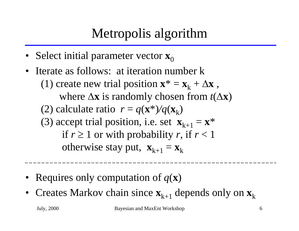## Metropolis algorithm

- Select initial parameter vector  $\mathbf{x}_0$
- • Iterate as follows: at iteration number k(1) create new trial position  $\mathbf{x}^* = \mathbf{x}_k + \Delta \mathbf{x}$  , where  $\Delta x$  is randomly chosen from  $t(\Delta x)$ (2) calculate ratio  $r = q(\mathbf{x}^*)/q(\mathbf{x}_k)$ (3) accept trial position, i.e. set  $\mathbf{x}_{k+1} = \mathbf{x}^*$ if  $r \geq 1$  or with probability *r*, if  $r < 1$ otherwise stay put,  $\mathbf{x}_{k+1} = \mathbf{x}_k$
- Requires only computation of  $q(\mathbf{x})$
- Creates Markov chain since  $\mathbf{x}_{k+1}$  depends only on  $\mathbf{x}_k$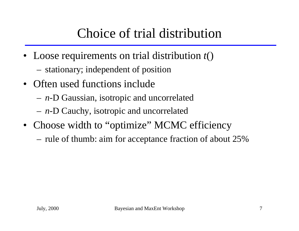## Choice of trial distribution

- Loose requirements on trial distribution  $t()$ 
	- stationary; independent of position
- Often used functions include
	- *<sup>n</sup>*-D Gaussian, isotropic and uncorrelated
	- *<sup>n</sup>*-D Cauchy, isotropic and uncorrelated
- Choose width to "optimize" MCMC efficiency
	- rule of thumb: aim for acceptance fraction of about 25%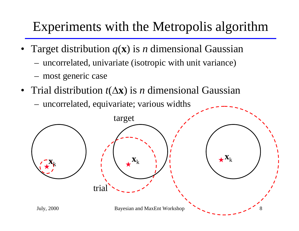#### Experiments with the Metropolis algorithm

- • Target distribution *q* ( **<sup>x</sup>**) is *n* dimensional Gaussian
	- uncorrelated, univariate (isotropic with unit variance)
	- most generic case
- Trial distribution *t*(Δx) is *n* dimensional Gaussian
	- uncorrelated, equivariate; various widths

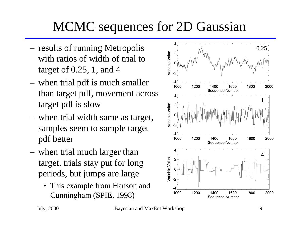### MCMC sequences for 2D Gaussian

- results of running Metropolis with ratios of width of trial to target of 0.25, 1, and 4
- when trial pdf is much smaller than target pdf, movement across target pdf is slow
- when trial width same as target, samples seem to sample target pdf better
- when trial much larger than target, trials stay put for long periods, but jumps are large
	- • This example from Hanson and Cunningham (SPIE, 1998)

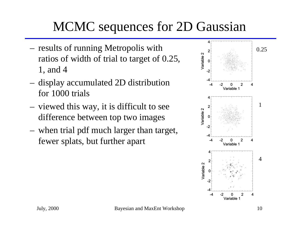# MCMC sequences for 2D Gaussian

- results of running Metropolis with ratios of width of trial to target of 0.25, 1, and 4
- display accumulated 2D distribution for 1000 trials
- viewed this way, it is difficult to see difference between top two images
- when trial pdf much larger than target, fewer splats, but further apart

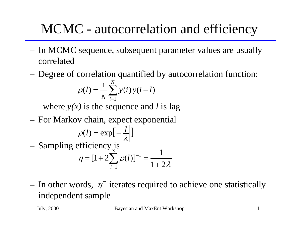# MCMC - autocorrelation and efficiency

- In MCMC sequence, subsequent parameter values are usually correlated
- Degree of correlation quantified by autocorrelation function:

$$
\rho(l) = \frac{1}{N} \sum_{i=1}^{N} y(i) y(i-l)
$$

where *y(x)* is the sequence and *l* is lag

For Markov chain, expect exponential

$$
\rho(l) = \exp\left[-\left|\frac{l}{\lambda}\right|\right]
$$
  
- Sampling efficiency is  

$$
\eta = [1 + 2\sum_{l=1}^{\infty} \rho(l)]^{-1} = \frac{1}{1 + 2\lambda}
$$

In other words,  $\eta^{-1}$  iterates required to achieve one statistically independent sample

July, 2000 Bayesian and MaxEnt Workshop 11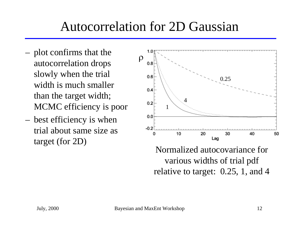#### Autocorrelation for 2D Gaussian

- plot confirms that the autocorrelation drops slowly when the trial width is much smaller than the target width; MCMC efficiency is poor
- best efficiency is when trial about same size as target (for 2D)



Normalized autocovariance for various widths of trial pdf relative to target: 0.25, 1, and 4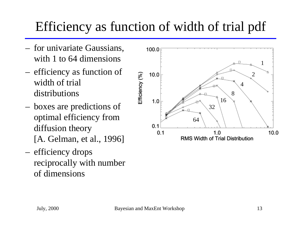### Efficiency as function of width of trial pdf

- for univariate Gaussians, with 1 to 64 dimensions
- efficiency as function of width of trial distributions
- boxes are predictions of optimal efficiency from diffusion theory [A. Gelman, et al., 1996]
- efficiency drops reciprocally with number of dimensions

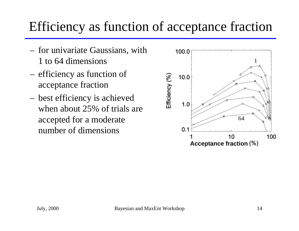#### Efficiency as function of acceptance fraction

- for univariate Gaussians, with 1 to 64 dimensions
- efficiency as function of acceptance fraction
- best efficiency is achieved when about 25% of trials are accepted for a moderate number of dimensions

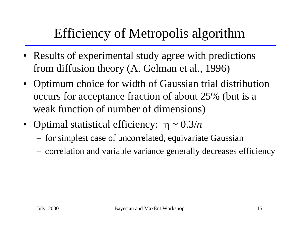# Efficiency of Metropolis algorithm

- Results of experimental study agree with predictions from diffusion theory (A. Gelman et al., 1996)
- Optimum choice for width of Gaussian trial distribution occurs for acceptance fraction of about 25% (but is a weak function of number of dimensions)
- Optimal statistical efficiency: η ~ 0.3/*n* 
	- for simplest case of uncorrelated, equivariate Gaussian
	- correlation and variable variance generally decreases efficiency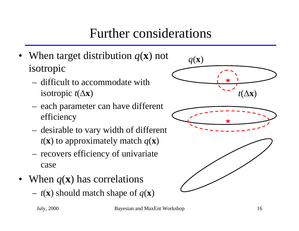## Further considerations

- When target distribution *q* ( **<sup>x</sup>**) not isotropic
	- difficult to accommodate with isotropic  $t(\Delta x)$
	- each parameter can have different efficiency
	- desirable to vary width of different  $t(\mathbf{x})$  to approximately match  $q(\mathbf{x})$
	- recovers efficiency of univariate case
- When  $q(\mathbf{x})$  has correlations
	- $t(\mathbf{x})$  should match shape of  $q(\mathbf{x})$

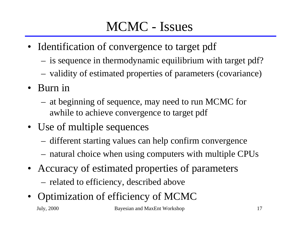# MCMC - Issues

- Identification of convergence to target pdf
	- is sequence in thermodynamic equilibrium with target pdf?
	- validity of estimated properties of parameters (covariance)
- Burn in
	- at beginning of sequence, may need to run MCMC for awhile to achieve convergence to target pdf
- Use of multiple sequences
	- different starting values can help confirm convergence
	- natural choice when using computers with multiple CPUs
- Accuracy of estimated properties of parameters related to efficiency, described above
- July, 2000 Bayesian and MaxEnt Workshop 17 • Optimization of efficiency of MCMC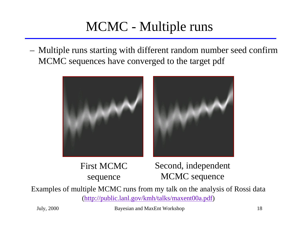## MCMC - Multiple runs

 Multiple runs starting with different random number seed confirm MCMC sequences have converged to the target pdf



First MCMC sequence

Second, independent MCMC sequence

Examples of multiple MCMC runs from my talk on the analysis of Rossi data (http://public.lanl.gov/kmh/talks/maxent00a.pdf)

July, 2000 Bayesian and MaxEnt Workshop 18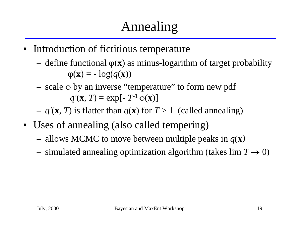- • Introduction of fictitious temperature
	- define functional ϕ ( **<sup>x</sup>**) as minus-logarithm of target probability  $\varphi(\mathbf{x}) = -\log(q(\mathbf{x}))$
	- scale ϕ by an inverse "temperature" to form new pdf  $q'(\mathbf{x}, T) = \exp[-T^{-1} \varphi(\mathbf{x})]$
	- $q'(\mathbf{x}, T)$  is flatter than  $q(\mathbf{x})$  for  $T > 1$  (called annealing)
- Uses of annealing (also called tempering)
	- allows MCMC to move between multiple peaks in  $q(\mathbf{x})$
	- simulated annealing optimization algorithm (takes  $\lim T \to 0$ )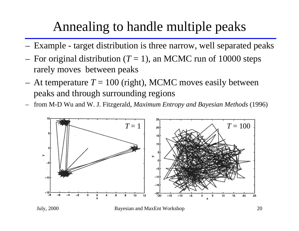#### Annealing to handle multiple peaks

- Example target distribution is three narrow, well separated peaks
- For original distribution  $(T = 1)$ , an MCMC run of 10000 steps rarely moves between peaks
- At temperature  $T = 100$  (right), MCMC moves easily between peaks and through surrounding regions
- from M-D Wu and W. J. Fitzgerald, *Maximum Entropy and Bayesian Methods* (1996)



July, 2000 Bayesian and MaxEnt Workshop 20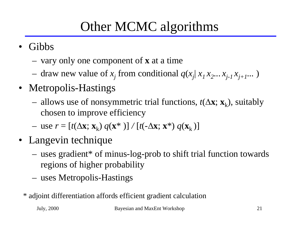# Other MCMC algorithms

- Gibbs
	- vary only one component of **x** at a time
	- $-$  draw new value of  $x_j$  from conditional  $q(x_j | x_1 x_2 ... x_{j-1} x_{j+1} ...)$
- Metropolis-Hastings
	- allows use of nonsymmetric trial functions,  $t(\Delta x; x_k)$ , suitably chosen to improve efficiency
	- $-$  use  $r = [t(\Delta \mathbf{x}; \mathbf{x}_k) q(\mathbf{x}^*)] / [t(-\Delta \mathbf{x}; \mathbf{x}^*) q(\mathbf{x}_k)]$
- Langevin technique
	- uses gradient\* of minus-log-prob to shift trial function towards regions of higher probability
	- uses Metropolis-Hastings
	- \* adjoint differentiation affords efficient gradient calculation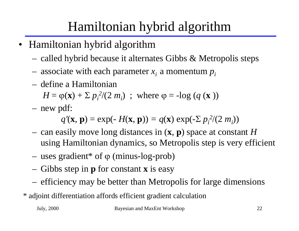# Hamiltonian hybrid algorithm

- Hamiltonian hybrid algorithm
	- called hybrid because it alternates Gibbs & Metropolis steps
	- associate with each parameter  $x_i$  a momentum  $p_i$
	- define a Hamiltonian

*H* =  $\varphi$ (**x**) + Σ  $p_i^2/(2 m_i)$ ; where  $\varphi$  = -log (*q* (**x**))

new pdf:

 $q'(\mathbf{x}, \mathbf{p}) = \exp(-H(\mathbf{x}, \mathbf{p})) = q(\mathbf{x}) \exp(-\sum p_i^2/(2 m_i))$ 

- can easily move long distances in ( **<sup>x</sup>**, **p**) space at constant *H* using Hamiltonian dynamics, so Metropolis step is very efficient
- uses gradient\* of ϕ (minus-log-prob)
- Gibbs step in **p** for constant **x** is easy
- efficiency may be better than Metropolis for large dimensions
- \* adjoint differentiation affords efficient gradient calculation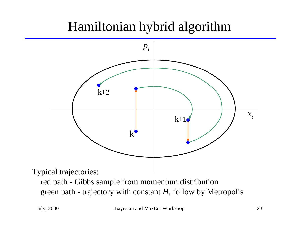### Hamiltonian hybrid algorithm

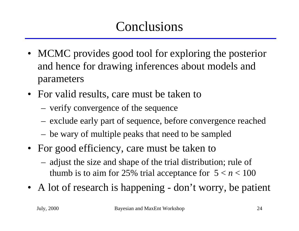## Conclusions

- MCMC provides good tool for exploring the posterior and hence for drawing inferences about models and parameters
- For valid results, care must be taken to
	- verify convergence of the sequence
	- exclude early part of sequence, before convergence reached
	- be wary of multiple peaks that need to be sampled
- For good efficiency, care must be taken to
	- adjust the size and shape of the trial distribution; rule of thumb is to aim for 25% trial acceptance for  $5 < n < 100$
- A lot of research is happening don't worry, be patient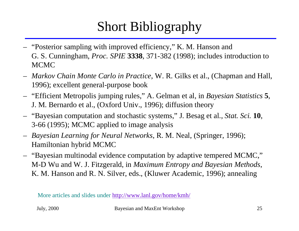# Short Bibliography

- "Posterior sampling with improved efficiency," K. M. Hanson and G. S. Cunningham, *Proc. SPIE* **3338**, 371-382 (1998); includes introduction to MCMC
- *Markov Chain Monte Carlo in Practice*, W. R. Gilks et al., (Chapman and Hall, 1996); excellent general-purpose book
- "Efficient Metropolis jumping rules," A. Gelman et al, in *Bayesian Statistics*  **5**, J. M. Bernardo et al., (Oxford Univ., 1996); diffusion theory
- "Bayesian computation and stochastic systems," J. Besag et al., *Stat. Sci.* **10**, 3-66 (1995); MCMC applied to image analysis
- – *Bayesian Learning for Neural Networks*, R. M. Neal, (Springer, 1996); Hamiltonian hybrid MCMC
- "Bayesian multinodal evidence computation by adaptive tempered MCMC," M-D Wu and W. J. Fitzgerald, in *Maximum Entropy and Bayesian Methods*, K. M. Hanson and R. N. Silver, eds., (Kluwer Academic, 1996); annealing

More articles and slides under http://www.lanl.gov/home/kmh/